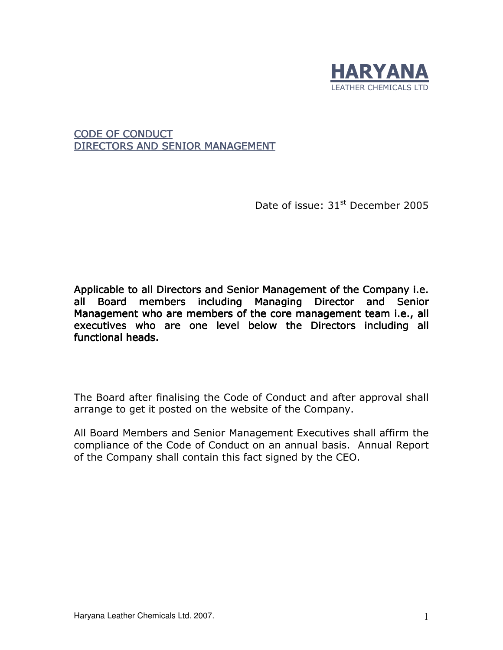

CODE OF CONDUCT DIRECTORS AND SENIOR MANAGEMENT

Date of issue: 31<sup>st</sup> December 2005

Applicable to all Directors and Senior Management of the Company i.e. all Board members including Managing Director and Senior Management who are members of the core management team i.e., all executives who are one level below the Directors including all functional heads.

The Board after finalising the Code of Conduct and after approval shall arrange to get it posted on the website of the Company.

All Board Members and Senior Management Executives shall affirm the compliance of the Code of Conduct on an annual basis. Annual Report of the Company shall contain this fact signed by the CEO.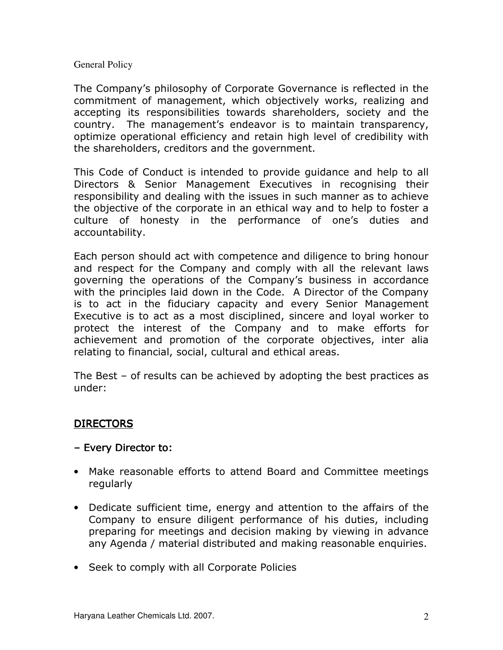## General Policy

The Company's philosophy of Corporate Governance is reflected in the commitment of management, which objectively works, realizing and accepting its responsibilities towards shareholders, society and the country. The management's endeavor is to maintain transparency, optimize operational efficiency and retain high level of credibility with the shareholders, creditors and the government.

This Code of Conduct is intended to provide guidance and help to all Directors & Senior Management Executives in recognising their responsibility and dealing with the issues in such manner as to achieve the objective of the corporate in an ethical way and to help to foster a culture of honesty in the performance of one's duties and accountability.

Each person should act with competence and diligence to bring honour and respect for the Company and comply with all the relevant laws governing the operations of the Company's business in accordance with the principles laid down in the Code. A Director of the Company is to act in the fiduciary capacity and every Senior Management Executive is to act as a most disciplined, sincere and loyal worker to protect the interest of the Company and to make efforts for achievement and promotion of the corporate objectives, inter alia relating to financial, social, cultural and ethical areas.

The Best – of results can be achieved by adopting the best practices as under:

## DIRECTORS

- Every Director to:
- Make reasonable efforts to attend Board and Committee meetings regularly
- Dedicate sufficient time, energy and attention to the affairs of the Company to ensure diligent performance of his duties, including preparing for meetings and decision making by viewing in advance any Agenda / material distributed and making reasonable enquiries.
- Seek to comply with all Corporate Policies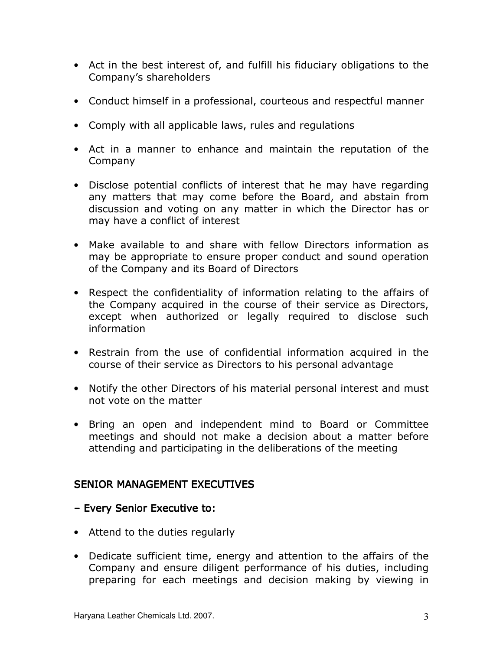- Act in the best interest of, and fulfill his fiduciary obligations to the Company's shareholders
- Conduct himself in a professional, courteous and respectful manner
- Comply with all applicable laws, rules and regulations
- Act in a manner to enhance and maintain the reputation of the Company
- Disclose potential conflicts of interest that he may have regarding any matters that may come before the Board, and abstain from discussion and voting on any matter in which the Director has or may have a conflict of interest
- Make available to and share with fellow Directors information as may be appropriate to ensure proper conduct and sound operation of the Company and its Board of Directors
- Respect the confidentiality of information relating to the affairs of the Company acquired in the course of their service as Directors, except when authorized or legally required to disclose such information
- Restrain from the use of confidential information acquired in the course of their service as Directors to his personal advantage
- Notify the other Directors of his material personal interest and must not vote on the matter
- Bring an open and independent mind to Board or Committee meetings and should not make a decision about a matter before attending and participating in the deliberations of the meeting

## SENIOR MANAGEMENT EXECUTIVES

- Every Senior Executive to:
- Attend to the duties regularly
- Dedicate sufficient time, energy and attention to the affairs of the Company and ensure diligent performance of his duties, including preparing for each meetings and decision making by viewing in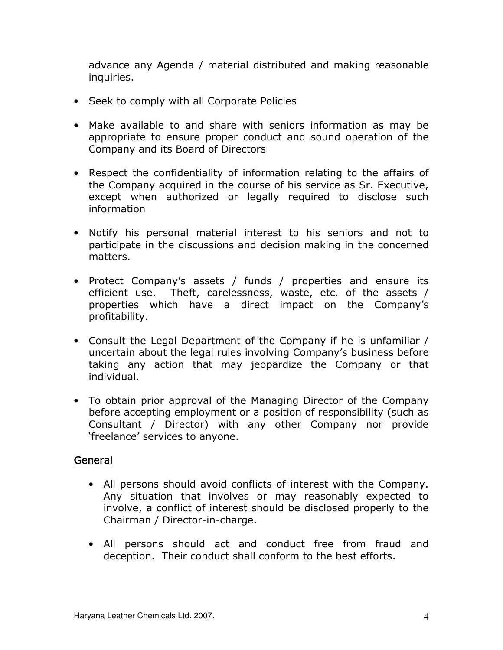advance any Agenda / material distributed and making reasonable inquiries.

- Seek to comply with all Corporate Policies
- Make available to and share with seniors information as may be appropriate to ensure proper conduct and sound operation of the Company and its Board of Directors
- Respect the confidentiality of information relating to the affairs of the Company acquired in the course of his service as Sr. Executive, except when authorized or legally required to disclose such information
- Notify his personal material interest to his seniors and not to participate in the discussions and decision making in the concerned matters.
- Protect Company's assets / funds / properties and ensure its efficient use. Theft, carelessness, waste, etc. of the assets / properties which have a direct impact on the Company's profitability.
- Consult the Legal Department of the Company if he is unfamiliar / uncertain about the legal rules involving Company's business before taking any action that may jeopardize the Company or that individual.
- To obtain prior approval of the Managing Director of the Company before accepting employment or a position of responsibility (such as Consultant / Director) with any other Company nor provide 'freelance' services to anyone.

## General

- All persons should avoid conflicts of interest with the Company. Any situation that involves or may reasonably expected to involve, a conflict of interest should be disclosed properly to the Chairman / Director-in-charge.
- All persons should act and conduct free from fraud and deception. Their conduct shall conform to the best efforts.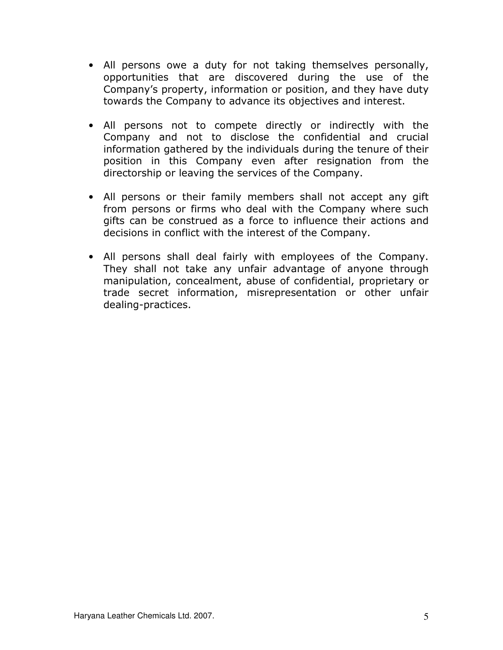- All persons owe a duty for not taking themselves personally, opportunities that are discovered during the use of the Company's property, information or position, and they have duty towards the Company to advance its objectives and interest.
- All persons not to compete directly or indirectly with the Company and not to disclose the confidential and crucial information gathered by the individuals during the tenure of their position in this Company even after resignation from the directorship or leaving the services of the Company.
- All persons or their family members shall not accept any gift from persons or firms who deal with the Company where such gifts can be construed as a force to influence their actions and decisions in conflict with the interest of the Company.
- All persons shall deal fairly with employees of the Company. They shall not take any unfair advantage of anyone through manipulation, concealment, abuse of confidential, proprietary or trade secret information, misrepresentation or other unfair dealing-practices.